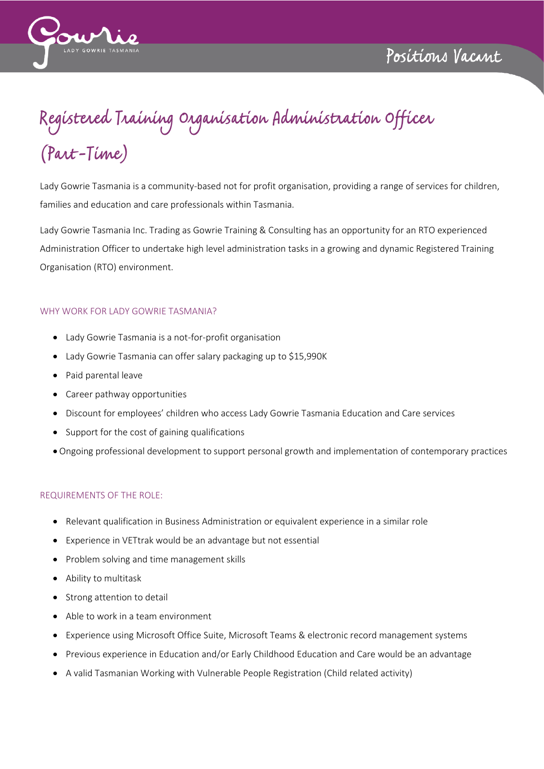

## Registered Training Organisation Administration Officer<br>(Part-Time)

Lady Gowrie Tasmania is a community-based not for profit organisation, providing a range of services for children, families and education and care professionals within Tasmania.

Lady Gowrie Tasmania Inc. Trading as Gowrie Training & Consulting has an opportunity for an RTO experienced Administration Officer to undertake high level administration tasks in a growing and dynamic Registered Training Organisation (RTO) environment.

## WHY WORK FOR LADY GOWRIE TASMANIA?

- Lady Gowrie Tasmania is a not-for-profit organisation
- Lady Gowrie Tasmania can offer salary packaging up to \$15,990K
- Paid parental leave
- Career pathway opportunities
- Discount for employees' children who access Lady Gowrie Tasmania Education and Care services
- Support for the cost of gaining qualifications
- Ongoing professional development to support personal growth and implementation of contemporary practices

## REQUIREMENTS OF THE ROLE:

- Relevant qualification in Business Administration or equivalent experience in a similar role
- Experience in VETtrak would be an advantage but not essential
- Problem solving and time management skills
- Ability to multitask
- Strong attention to detail
- Able to work in a team environment
- Experience using Microsoft Office Suite, Microsoft Teams & electronic record management systems
- Previous experience in Education and/or Early Childhood Education and Care would be an advantage
- A valid Tasmanian Working with Vulnerable People Registration (Child related activity)